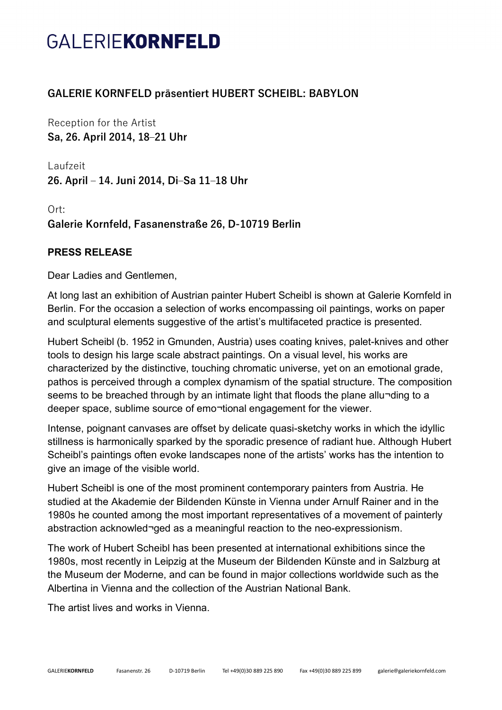## GALERIEKORNFELD

## **GALERIE KORNFELD präsentiert HUBERT SCHEIBL: BABYLON**

Reception for the Artist **Sa, 26. April 2014, 18‒21 Uhr**

Laufzeit **26. April ‒ 14. Juni 2014, Di‒Sa 11‒18 Uhr**

Ort: **Galerie Kornfeld, Fasanenstraße 26, D-10719 Berlin**

## **PRESS RELEASE**

Dear Ladies and Gentlemen,

At long last an exhibition of Austrian painter Hubert Scheibl is shown at Galerie Kornfeld in Berlin. For the occasion a selection of works encompassing oil paintings, works on paper and sculptural elements suggestive of the artist's multifaceted practice is presented.

Hubert Scheibl (b. 1952 in Gmunden, Austria) uses coating knives, palet-knives and other tools to design his large scale abstract paintings. On a visual level, his works are characterized by the distinctive, touching chromatic universe, yet on an emotional grade, pathos is perceived through a complex dynamism of the spatial structure. The composition seems to be breached through by an intimate light that floods the plane allu-ding to a deeper space, sublime source of emo¬tional engagement for the viewer.

Intense, poignant canvases are offset by delicate quasi-sketchy works in which the idyllic stillness is harmonically sparked by the sporadic presence of radiant hue. Although Hubert Scheibl's paintings often evoke landscapes none of the artists' works has the intention to give an image of the visible world.

Hubert Scheibl is one of the most prominent contemporary painters from Austria. He studied at the Akademie der Bildenden Künste in Vienna under Arnulf Rainer and in the 1980s he counted among the most important representatives of a movement of painterly abstraction acknowled¬ged as a meaningful reaction to the neo-expressionism.

The work of Hubert Scheibl has been presented at international exhibitions since the 1980s, most recently in Leipzig at the Museum der Bildenden Künste and in Salzburg at the Museum der Moderne, and can be found in major collections worldwide such as the Albertina in Vienna and the collection of the Austrian National Bank.

The artist lives and works in Vienna.